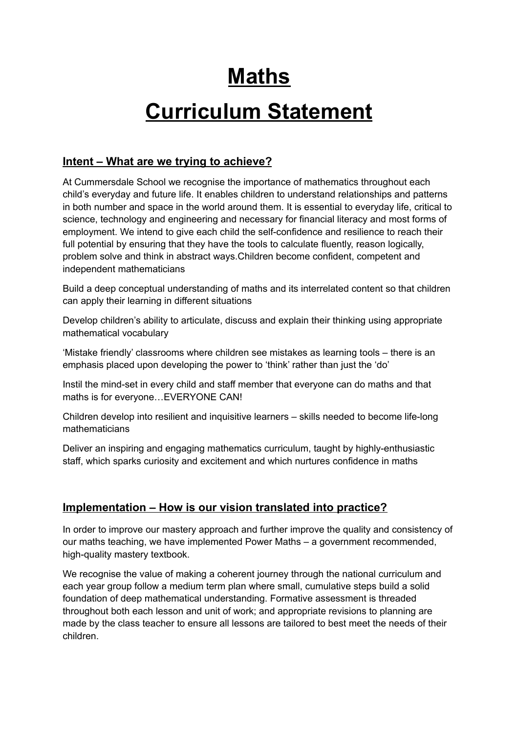## **Maths**

# **Curriculum Statement**

### **Intent – What are we trying to achieve?**

At Cummersdale School we recognise the importance of mathematics throughout each child's everyday and future life. It enables children to understand relationships and patterns in both number and space in the world around them. It is essential to everyday life, critical to science, technology and engineering and necessary for financial literacy and most forms of employment. We intend to give each child the self-confidence and resilience to reach their full potential by ensuring that they have the tools to calculate fluently, reason logically, problem solve and think in abstract ways.Children become confident, competent and independent mathematicians

Build a deep conceptual understanding of maths and its interrelated content so that children can apply their learning in different situations

Develop children's ability to articulate, discuss and explain their thinking using appropriate mathematical vocabulary

'Mistake friendly' classrooms where children see mistakes as learning tools – there is an emphasis placed upon developing the power to 'think' rather than just the 'do'

Instil the mind-set in every child and staff member that everyone can do maths and that maths is for everyone…EVERYONE CAN!

Children develop into resilient and inquisitive learners – skills needed to become life-long mathematicians

Deliver an inspiring and engaging mathematics curriculum, taught by highly-enthusiastic staff, which sparks curiosity and excitement and which nurtures confidence in maths

### **Implementation – How is our vision translated into practice?**

In order to improve our mastery approach and further improve the quality and consistency of our maths teaching, we have implemented Power Maths – a government recommended, high-quality mastery textbook.

We recognise the value of making a coherent journey through the national curriculum and each year group follow a medium term plan where small, cumulative steps build a solid foundation of deep mathematical understanding. Formative assessment is threaded throughout both each lesson and unit of work; and appropriate revisions to planning are made by the class teacher to ensure all lessons are tailored to best meet the needs of their children.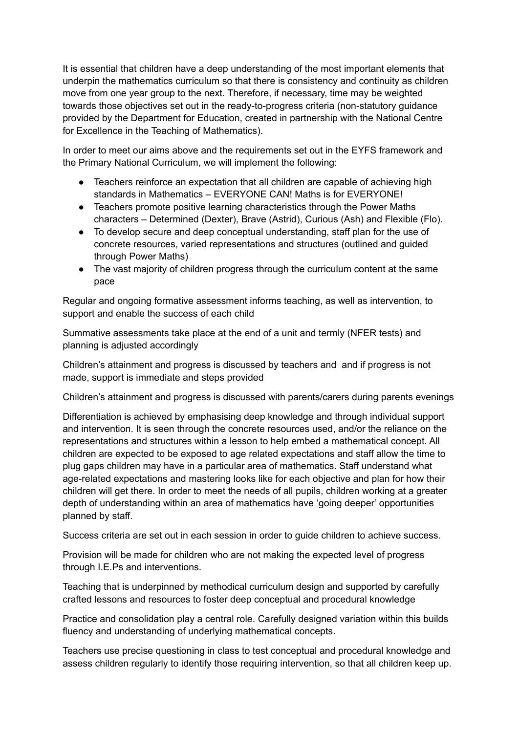It is essential that children have a deep understanding of the most important elements that underpin the mathematics curriculum so that there is consistency and continuity as children move from one year group to the next. Therefore, if necessary, time may be weighted towards those objectives set out in the ready-to-progress criteria (non-statutory guidance provided by the Department for Education, created in partnership with the National Centre for Excellence in the Teaching of Mathematics).

In order to meet our aims above and the requirements set out in the EYFS framework and the Primary National Curriculum, we will implement the following:

- Teachers reinforce an expectation that all children are capable of achieving high standards in Mathematics – EVERYONE CAN! Maths is for EVERYONE!
- Teachers promote positive learning characteristics through the Power Maths characters – Determined (Dexter), Brave (Astrid), Curious (Ash) and Flexible (Flo).
- To develop secure and deep conceptual understanding, staff plan for the use of concrete resources, varied representations and structures (outlined and guided through Power Maths)
- The vast majority of children progress through the curriculum content at the same pace

Regular and ongoing formative assessment informs teaching, as well as intervention, to support and enable the success of each child

Summative assessments take place at the end of a unit and termly (NFER tests) and planning is adjusted accordingly

Children's attainment and progress is discussed by teachers and and if progress is not made, support is immediate and steps provided

Children's attainment and progress is discussed with parents/carers during parents evenings

Differentiation is achieved by emphasising deep knowledge and through individual support and intervention. It is seen through the concrete resources used, and/or the reliance on the representations and structures within a lesson to help embed a mathematical concept. All children are expected to be exposed to age related expectations and staff allow the time to plug gaps children may have in a particular area of mathematics. Staff understand what age-related expectations and mastering looks like for each objective and plan for how their children will get there. In order to meet the needs of all pupils, children working at a greater depth of understanding within an area of mathematics have 'going deeper' opportunities planned by staff.

Success criteria are set out in each session in order to guide children to achieve success.

Provision will be made for children who are not making the expected level of progress through I.E.Ps and interventions.

Teaching that is underpinned by methodical curriculum design and supported by carefully crafted lessons and resources to foster deep conceptual and procedural knowledge

Practice and consolidation play a central role. Carefully designed variation within this builds fluency and understanding of underlying mathematical concepts.

Teachers use precise questioning in class to test conceptual and procedural knowledge and assess children regularly to identify those requiring intervention, so that all children keep up.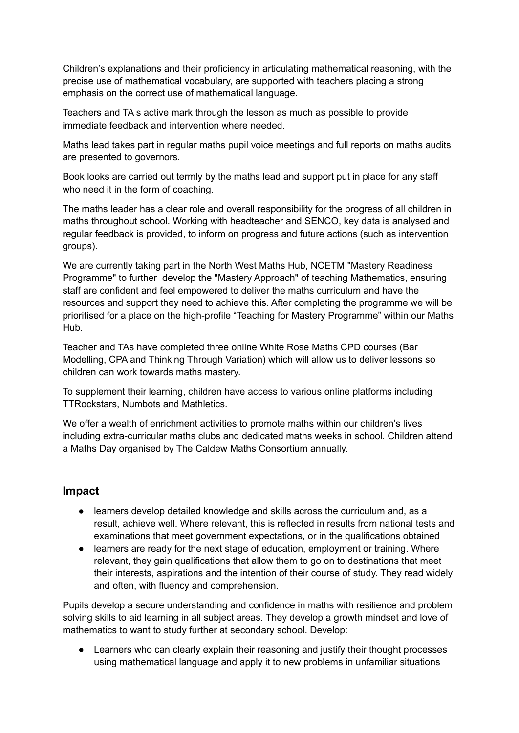Children's explanations and their proficiency in articulating mathematical reasoning, with the precise use of mathematical vocabulary, are supported with teachers placing a strong emphasis on the correct use of mathematical language.

Teachers and TA s active mark through the lesson as much as possible to provide immediate feedback and intervention where needed.

Maths lead takes part in regular maths pupil voice meetings and full reports on maths audits are presented to governors.

Book looks are carried out termly by the maths lead and support put in place for any staff who need it in the form of coaching.

The maths leader has a clear role and overall responsibility for the progress of all children in maths throughout school. Working with headteacher and SENCO, key data is analysed and regular feedback is provided, to inform on progress and future actions (such as intervention groups).

We are currently taking part in the North West Maths Hub, NCETM "Mastery Readiness Programme" to further develop the "Mastery Approach" of teaching Mathematics, ensuring staff are confident and feel empowered to deliver the maths curriculum and have the resources and support they need to achieve this. After completing the programme we will be prioritised for a place on the high-profile "Teaching for Mastery Programme" within our Maths Hub.

Teacher and TAs have completed three online White Rose Maths CPD courses (Bar Modelling, CPA and Thinking Through Variation) which will allow us to deliver lessons so children can work towards maths mastery.

To supplement their learning, children have access to various online platforms including TTRockstars, Numbots and Mathletics.

We offer a wealth of enrichment activities to promote maths within our children's lives including extra-curricular maths clubs and dedicated maths weeks in school. Children attend a Maths Day organised by The Caldew Maths Consortium annually.

#### **Impact**

- learners develop detailed knowledge and skills across the curriculum and, as a result, achieve well. Where relevant, this is reflected in results from national tests and examinations that meet government expectations, or in the qualifications obtained
- learners are ready for the next stage of education, employment or training. Where relevant, they gain qualifications that allow them to go on to destinations that meet their interests, aspirations and the intention of their course of study. They read widely and often, with fluency and comprehension.

Pupils develop a secure understanding and confidence in maths with resilience and problem solving skills to aid learning in all subject areas. They develop a growth mindset and love of mathematics to want to study further at secondary school. Develop:

● Learners who can clearly explain their reasoning and justify their thought processes using mathematical language and apply it to new problems in unfamiliar situations